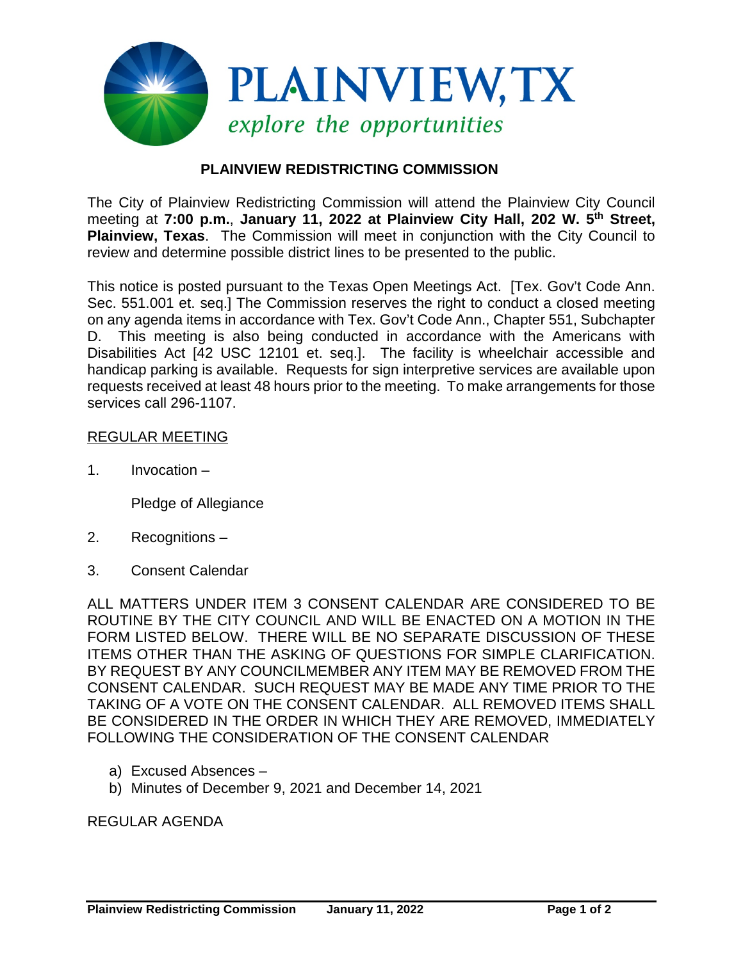

## **PLAINVIEW REDISTRICTING COMMISSION**

The City of Plainview Redistricting Commission will attend the Plainview City Council meeting at **7:00 p.m.**, **January 11, 2022 at Plainview City Hall, 202 W. 5th Street, Plainview, Texas**. The Commission will meet in conjunction with the City Council to review and determine possible district lines to be presented to the public.

This notice is posted pursuant to the Texas Open Meetings Act. [Tex. Gov't Code Ann. Sec. 551.001 et. seq.] The Commission reserves the right to conduct a closed meeting on any agenda items in accordance with Tex. Gov't Code Ann., Chapter 551, Subchapter D. This meeting is also being conducted in accordance with the Americans with Disabilities Act [42 USC 12101 et. seq.]. The facility is wheelchair accessible and handicap parking is available. Requests for sign interpretive services are available upon requests received at least 48 hours prior to the meeting. To make arrangements for those services call 296-1107.

## REGULAR MEETING

1. Invocation –

Pledge of Allegiance

- 2. Recognitions –
- 3. Consent Calendar

ALL MATTERS UNDER ITEM 3 CONSENT CALENDAR ARE CONSIDERED TO BE ROUTINE BY THE CITY COUNCIL AND WILL BE ENACTED ON A MOTION IN THE FORM LISTED BELOW. THERE WILL BE NO SEPARATE DISCUSSION OF THESE ITEMS OTHER THAN THE ASKING OF QUESTIONS FOR SIMPLE CLARIFICATION. BY REQUEST BY ANY COUNCILMEMBER ANY ITEM MAY BE REMOVED FROM THE CONSENT CALENDAR. SUCH REQUEST MAY BE MADE ANY TIME PRIOR TO THE TAKING OF A VOTE ON THE CONSENT CALENDAR. ALL REMOVED ITEMS SHALL BE CONSIDERED IN THE ORDER IN WHICH THEY ARE REMOVED, IMMEDIATELY FOLLOWING THE CONSIDERATION OF THE CONSENT CALENDAR

- a) Excused Absences –
- b) Minutes of December 9, 2021 and December 14, 2021

## REGULAR AGENDA